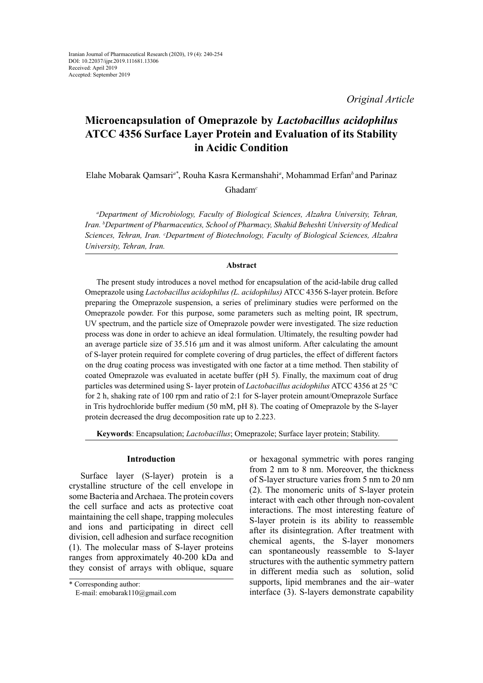*Original Article*

# **Microencapsulation of Omeprazole by** *Lactobacillus acidophilus* **ATCC 4356 Surface Layer Protein and Evaluation of its Stability in Acidic Condition**

Elahe Mobarak Qamsari*a\**, Rouha Kasra Kermanshahi*<sup>a</sup>* , Mohammad Erfan*<sup>b</sup>*and Parinaz

Ghadam*<sup>c</sup>*

*a Department of Microbiology, Faculty of Biological Sciences, Alzahra University, Tehran, Iran. b Department of Pharmaceutics, School of Pharmacy, Shahid Beheshti University of Medical Sciences, Tehran, Iran. c Department of Biotechnology, Faculty of Biological Sciences, Alzahra University, Tehran, Iran.* 

### **Abstract**

The present study introduces a novel method for encapsulation of the acid-labile drug called Omeprazole using *Lactobacillus acidophilus (L. acidophilus)* ATCC 4356 S-layer protein. Before preparing the Omeprazole suspension, a series of preliminary studies were performed on the Omeprazole powder. For this purpose, some parameters such as melting point, IR spectrum, UV spectrum, and the particle size of Omeprazole powder were investigated. The size reduction process was done in order to achieve an ideal formulation. Ultimately, the resulting powder had an average particle size of 35.516 μm and it was almost uniform. After calculating the amount of S-layer protein required for complete covering of drug particles, the effect of different factors on the drug coating process was investigated with one factor at a time method. Then stability of coated Omeprazole was evaluated in acetate buffer (pH 5). Finally, the maximum coat of drug particles was determined using S- layer protein of *Lactobacillus acidophilus* ATCC 4356 at 25 °C for 2 h, shaking rate of 100 rpm and ratio of 2:1 for S-layer protein amount/Omeprazole Surface in Tris hydrochloride buffer medium (50 mM, pH 8). The coating of Omeprazole by the S-layer protein decreased the drug decomposition rate up to 2.223.

**Keywords**: Encapsulation; *Lactobacillus*; Omeprazole; Surface layer protein; Stability.

# **Introduction**

Surface layer (S-layer) protein is a crystalline structure of the cell envelope in some Bacteria and Archaea. The protein covers the cell surface and acts as protective coat maintaining the cell shape, trapping molecules and ions and participating in direct cell division, cell adhesion and surface recognition (1). The molecular mass of S-layer proteins ranges from approximately 40-200 kDa and they consist of arrays with oblique, square

or hexagonal symmetric with pores ranging from 2 nm to 8 nm. Moreover, the thickness of S-layer structure varies from 5 nm to 20 nm (2). The monomeric units of S-layer protein interact with each other through non-covalent interactions. The most interesting feature of S-layer protein is its ability to reassemble after its disintegration. After treatment with chemical agents, the S-layer monomers can spontaneously reassemble to S-layer structures with the authentic symmetry pattern in different media such as solution, solid supports, lipid membranes and the air–water interface (3). S-layers demonstrate capability

<sup>\*</sup> Corresponding author:

E-mail: emobarak110@gmail.com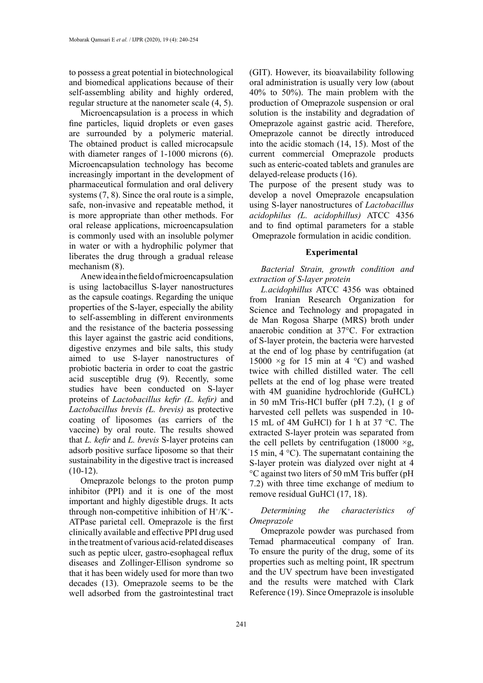to possess a great potential in biotechnological and biomedical applications because of their self-assembling ability and highly ordered, regular structure at the nanometer scale (4, 5).

Microencapsulation is a process in which fine particles, liquid droplets or even gases are surrounded by a polymeric material. The obtained product is called microcapsule with diameter ranges of 1-1000 microns (6). Microencapsulation technology has become increasingly important in the development of pharmaceutical formulation and oral delivery systems (7, 8). Since the oral route is a simple, safe, non-invasive and repeatable method, it is more appropriate than other methods. For oral release applications, microencapsulation is commonly used with an insoluble polymer in water or with a hydrophilic polymer that liberates the drug through a gradual release mechanism (8).

A new idea in the field of microencapsulation is using lactobacillus S-layer nanostructures as the capsule coatings. Regarding the unique properties of the S-layer, especially the ability to self-assembling in different environments and the resistance of the bacteria possessing this layer against the gastric acid conditions, digestive enzymes and bile salts, this study aimed to use S-layer nanostructures of probiotic bacteria in order to coat the gastric acid susceptible drug (9). Recently, some studies have been conducted on S-layer proteins of *Lactobacillus kefir (L. kefir)* and *Lactobacillus brevis (L. brevis)* as protective coating of liposomes (as carriers of the vaccine) by oral route. The results showed that *L. kefir* and *L. brevis* S-layer proteins can adsorb positive surface liposome so that their sustainability in the digestive tract is increased  $(10-12)$ .

Omeprazole belongs to the proton pump inhibitor (PPI) and it is one of the most important and highly digestible drugs. It acts through non-competitive inhibition of  $H^+/K^+$ -ATPase parietal cell. Omeprazole is the first clinically available and effective PPI drug used in the treatment of various acid-related diseases such as peptic ulcer, gastro-esophageal reflux diseases and Zollinger-Ellison syndrome so that it has been widely used for more than two decades (13). Omeprazole seems to be the well adsorbed from the gastrointestinal tract

(GIT). However, its bioavailability following oral administration is usually very low (about 40% to 50%). The main problem with the production of Omeprazole suspension or oral solution is the instability and degradation of Omeprazole against gastric acid. Therefore, Omeprazole cannot be directly introduced into the acidic stomach (14, 15). Most of the current commercial Omeprazole products such as enteric-coated tablets and granules are delayed-release products (16).

The purpose of the present study was to develop a novel Omeprazole encapsulation using S-layer nanostructures of *Lactobacillus acidophilus (L. acidophillus)* ATCC 4356 and to find optimal parameters for a stable Omeprazole formulation in acidic condition.

#### **Experimental**

*Bacterial Strain, growth condition and extraction of S-layer protein*

*L.acidophillus* ATCC 4356 was obtained from Iranian Research Organization for Science and Technology and propagated in de Man Rogosa Sharpe (MRS) broth under anaerobic condition at 37°C. For extraction of S-layer protein, the bacteria were harvested at the end of log phase by centrifugation (at 15000  $\times$ g for 15 min at 4 °C) and washed twice with chilled distilled water. The cell pellets at the end of log phase were treated with 4M guanidine hydrochloride (GuHCL) in 50 mM Tris-HCl buffer (pH 7.2), (1 g of harvested cell pellets was suspended in 10- 15 mL of 4M GuHCl) for 1 h at 37 °C. The extracted S-layer protein was separated from the cell pellets by centrifugation (18000  $\times$ g, 15 min, 4 °C). The supernatant containing the S-layer protein was dialyzed over night at 4 °C against two liters of 50 mM Tris buffer (pH 7.2) with three time exchange of medium to remove residual GuHCl (17, 18).

# *Determining the characteristics of Omeprazole*

Omeprazole powder was purchased from Temad pharmaceutical company of Iran. To ensure the purity of the drug, some of its properties such as melting point, IR spectrum and the UV spectrum have been investigated and the results were matched with Clark Reference (19). Since Omeprazole is insoluble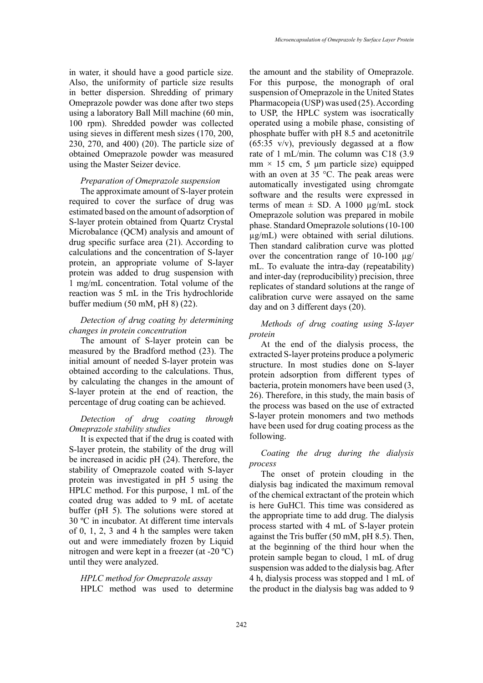in water, it should have a good particle size. Also, the uniformity of particle size results in better dispersion. Shredding of primary Omeprazole powder was done after two steps using a laboratory Ball Mill machine (60 min, 100 rpm). Shredded powder was collected using sieves in different mesh sizes (170, 200, 230, 270, and 400) (20). The particle size of obtained Omeprazole powder was measured using the Master Seizer device.

### *Preparation of Omeprazole suspension*

The approximate amount of S-layer protein required to cover the surface of drug was estimated based on the amount of adsorption of S-layer protein obtained from Quartz Crystal Microbalance (QCM) analysis and amount of drug specific surface area (21). According to calculations and the concentration of S-layer protein, an appropriate volume of S-layer protein was added to drug suspension with 1 mg/mL concentration. Total volume of the reaction was 5 mL in the Tris hydrochloride buffer medium (50 mM, pH 8) (22).

# *Detection of drug coating by determining changes in protein concentration*

The amount of S-layer protein can be measured by the Bradford method (23). The initial amount of needed S-layer protein was obtained according to the calculations. Thus, by calculating the changes in the amount of S-layer protein at the end of reaction, the percentage of drug coating can be achieved.

### *Detection of drug coating through Omeprazole stability studies*

It is expected that if the drug is coated with S-layer protein, the stability of the drug will be increased in acidic pH (24). Therefore, the stability of Omeprazole coated with S-layer protein was investigated in pH 5 using the HPLC method. For this purpose, 1 mL of the coated drug was added to 9 mL of acetate buffer (pH 5). The solutions were stored at 30 ºC in incubator. At different time intervals of 0, 1, 2, 3 and 4 h the samples were taken out and were immediately frozen by Liquid nitrogen and were kept in a freezer (at -20 ºC) until they were analyzed.

## *HPLC method for Omeprazole assay*

HPLC method was used to determine

the amount and the stability of Omeprazole. For this purpose, the monograph of oral suspension of Omeprazole in the United States Pharmacopeia (USP) was used (25). According to USP, the HPLC system was isocratically operated using a mobile phase, consisting of phosphate buffer with pH 8.5 and acetonitrile  $(65:35 \text{ v/v})$ , previously degassed at a flow rate of 1 mL/min. The column was C18 (3.9 mm  $\times$  15 cm, 5 µm particle size) equipped with an oven at 35 °C. The peak areas were automatically investigated using chromgate software and the results were expressed in terms of mean  $\pm$  SD. A 1000  $\mu$ g/mL stock Omeprazole solution was prepared in mobile phase. Standard Omeprazole solutions (10-100 µg/mL) were obtained with serial dilutions. Then standard calibration curve was plotted over the concentration range of  $10-100 \mu g$ / mL. To evaluate the intra-day (repeatability) and inter-day (reproducibility) precision, three replicates of standard solutions at the range of calibration curve were assayed on the same day and on 3 different days (20).

# *Methods of drug coating using S-layer protein*

At the end of the dialysis process, the extracted S-layer proteins produce a polymeric structure. In most studies done on S-layer protein adsorption from different types of bacteria, protein monomers have been used (3, 26). Therefore, in this study, the main basis of the process was based on the use of extracted S-layer protein monomers and two methods have been used for drug coating process as the following.

## *Coating the drug during the dialysis process*

The onset of protein clouding in the dialysis bag indicated the maximum removal of the chemical extractant of the protein which is here GuHCl. This time was considered as the appropriate time to add drug. The dialysis process started with 4 mL of S-layer protein against the Tris buffer (50 mM, pH 8.5). Then, at the beginning of the third hour when the protein sample began to cloud, 1 mL of drug suspension was added to the dialysis bag. After 4 h, dialysis process was stopped and 1 mL of the product in the dialysis bag was added to 9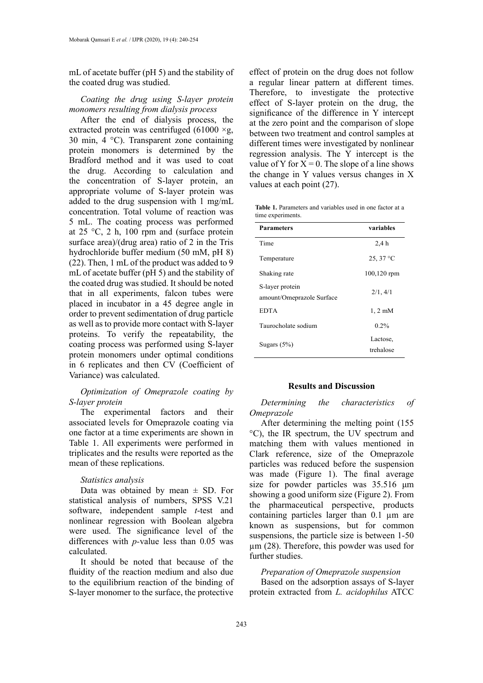mL of acetate buffer (pH 5) and the stability of the coated drug was studied.

### *Coating the drug using S-layer protein monomers resulting from dialysis process*

After the end of dialysis process, the extracted protein was centrifuged  $(61000 \times g)$ , 30 min, 4 °C). Transparent zone containing protein monomers is determined by the Bradford method and it was used to coat the drug. According to calculation and the concentration of S-layer protein, an appropriate volume of S-layer protein was added to the drug suspension with 1 mg/mL concentration. Total volume of reaction was 5 mL. The coating process was performed at 25  $\degree$ C, 2 h, 100 rpm and (surface protein surface area)/(drug area) ratio of 2 in the Tris hydrochloride buffer medium (50 mM, pH 8) (22). Then, 1 mL of the product was added to 9 mL of acetate buffer (pH 5) and the stability of the coated drug was studied. It should be noted that in all experiments, falcon tubes were placed in incubator in a 45 degree angle in order to prevent sedimentation of drug particle as well as to provide more contact with S-layer proteins. To verify the repeatability, the coating process was performed using S-layer protein monomers under optimal conditions in 6 replicates and then CV (Coefficient of Variance) was calculated.

# *Optimization of Omeprazole coating by S-layer protein*

The experimental factors and their associated levels for Omeprazole coating via one factor at a time experiments are shown in Table 1. All experiments were performed in triplicates and the results were reported as the mean of these replications.

### *Statistics analysis*

Data was obtained by mean  $\pm$  SD. For statistical analysis of numbers, SPSS V.21 software, independent sample *t*-test and nonlinear regression with Boolean algebra were used. The significance level of the differences with *p-*value less than 0.05 was calculated.

It should be noted that because of the fluidity of the reaction medium and also due to the equilibrium reaction of the binding of S-layer monomer to the surface, the protective

effect of protein on the drug does not follow a regular linear pattern at different times. Therefore, to investigate the protective effect of S-layer protein on the drug, the significance of the difference in Y intercept at the zero point and the comparison of slope between two treatment and control samples at different times were investigated by nonlinear regression analysis. The Y intercept is the value of Y for  $X = 0$ . The slope of a line shows the change in Y values versus changes in X values at each point (27).

 $\frac{1}{2}$  **S** susperiments with  $\frac{1}{2}$  in  $\frac{1}{2}$  **Table 1.** Parameters and variables used in one factor at a time experiments.

| <b>Parameters</b>         | variables         |
|---------------------------|-------------------|
| Time                      | 2.4h              |
| Temperature               | $25,37^{\circ}$ C |
| Shaking rate              | $100, 120$ rpm    |
| S-layer protein           | 2/1, 4/1          |
| amount/Omeprazole Surface |                   |
| <b>EDTA</b>               | $1, 2$ m $M$      |
| Taurocholate sodium       | $0.2\%$           |
| Sugars $(5%)$             | Lactose,          |
|                           | trehalose         |

#### **Results and Discussion**

Determining the Determining the characteristics of *Omeprazole*

<sup>o</sup>C), the IR spectrum, the UV spectrum and matching them with values mentioned in particles was reduced before the suspension was made (Figure 1). The final average showing a good uniform size (Figure 2). From the pharmaceutical perspective, products  $T_{\text{reflected}}$  and  $T_{\text{c}}$  of  $T_{\text{enc}}$  suspensions, the particle size is between 1-50  $p$ -value less than  $0.03$  was  $\mu$ m (28). Therefore, this powder was used for After determining the melting point (155 Clark reference, size of the Omeprazole size for powder particles was 35.516  $\mu$ m containing particles larger than 0.1 µm are known as suspensions, but for common further studies.

#### *Preparation of Omeprazole suspension*

**The reaction of the binding of Based on the adsorption assays of S-layer** to the surface, the protective protein extracted from *L. acidophilus* ATCC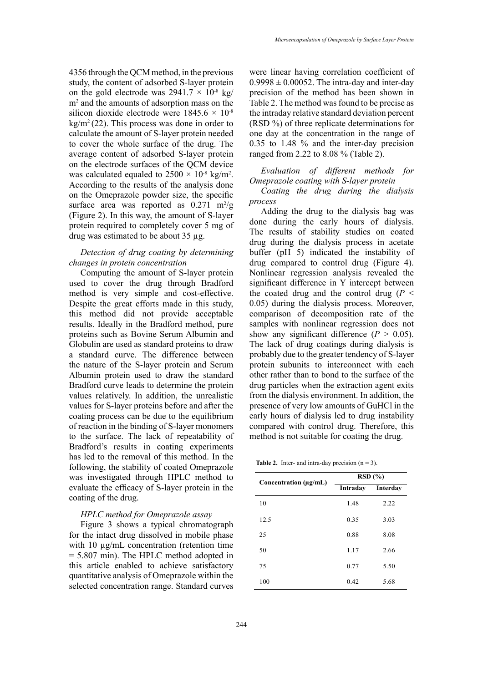4356 through the QCM method, in the previous study, the content of adsorbed S-layer protein on the gold electrode was  $2941.7 \times 10^{-8}$  kg/ m2 and the amounts of adsorption mass on the silicon dioxide electrode were  $1845.6 \times 10^{-8}$  $kg/m<sup>2</sup> (22)$ . This process was done in order to calculate the amount of S-layer protein needed to cover the whole surface of the drug. The average content of adsorbed S-layer protein on the electrode surfaces of the QCM device was calculated equaled to  $2500 \times 10^{-8}$  kg/m<sup>2</sup>. According to the results of the analysis done on the Omeprazole powder size, the specific surface area was reported as  $0.271 \text{ m}^2/\text{g}$ (Figure 2). In this way, the amount of S-layer protein required to completely cover 5 mg of drug was estimated to be about 35 µg.

# *Detection of drug coating by determining changes in protein concentration*

Computing the amount of S-layer protein used to cover the drug through Bradford significant difference in method is very simple and cost-effective. Despite the great efforts made in this study, this method did not provide acceptable results. Ideally in the Bradford method, pure proteins such as Bovine Serum Albumin and Globulin are used as standard proteins to draw a standard curve. The difference between the nature of the S-layer protein and Serum Albumin protein used to draw the standard Bradford curve leads to determine the protein values relatively. In addition, the unrealistic values for S-layer proteins before and after the coating process can be due to the equilibrium of reaction in the binding of S-layer monomers to the surface. The lack of repeatability of Bradford's results in coating experiments has led to the removal of this method. In the following, the stability of coated Omeprazole was investigated through HPLC method to evaluate the efficacy of S-layer protein in the coating of the drug.

#### *HPLC method for Omeprazole assay*

Figure 3 shows a typical chromatograph for the intact drug dissolved in mobile phase with 10  $\mu$ g/mL concentration (retention time = 5.807 min). The HPLC method adopted in this article enabled to achieve satisfactory quantitative analysis of Omeprazole within the selected concentration range. Standard curves were linear having correlation coefficient of  $0.9998 \pm 0.00052$ . The intra-day and inter-day precision of the method has been shown in Table 2. The method was found to be precise as the intraday relative standard deviation percent (RSD %) of three replicate determinations for one day at the concentration in the range of 0.35 to 1.48 % and the inter-day precision ranged from 2.22 to 8.08 % (Table 2).

# *Evaluation of different methods for Omeprazole coating with S-layer protein*

*Coating the drug during the dialysis process*

Adding the drug to the dialysis bag was done during the early hours of dialysis. The results of stability studies on coated drug during the dialysis process in acetate buffer (pH 5) indicated the instability of drug compared to control drug (Figure 4). Nonlinear regression analysis revealed the significant difference in Y intercept between the coated drug and the control drug ( $P <$ 0.05) during the dialysis process. Moreover, comparison of decomposition rate of the samples with nonlinear regression does not show any significant difference  $(P > 0.05)$ . The lack of drug coatings during dialysis is probably due to the greater tendency of S-layer protein subunits to interconnect with each other rather than to bond to the surface of the drug particles when the extraction agent exits from the dialysis environment. In addition, the presence of very low amounts of GuHCl in the early hours of dialysis led to drug instability compared with control drug. Therefore, this method is not suitable for coating the drug.

|  | <b>Table 2.</b> Inter- and intra-day precision $(n = 3)$ . |  |  |  |  |
|--|------------------------------------------------------------|--|--|--|--|
|--|------------------------------------------------------------|--|--|--|--|

| Concentration $(\mu\mathbf{g}/m\mathbf{L})$ | RSD(%)   |          |  |
|---------------------------------------------|----------|----------|--|
|                                             | Intraday | Interday |  |
| 10                                          | 1.48     | 2.22     |  |
| 12.5                                        | 0.35     | 3.03     |  |
| 25                                          | 0.88     | 8.08     |  |
| 50                                          | 1.17     | 2.66     |  |
| 75                                          | 0.77     | 5.50     |  |
| 100                                         | 0.42     | 5.68     |  |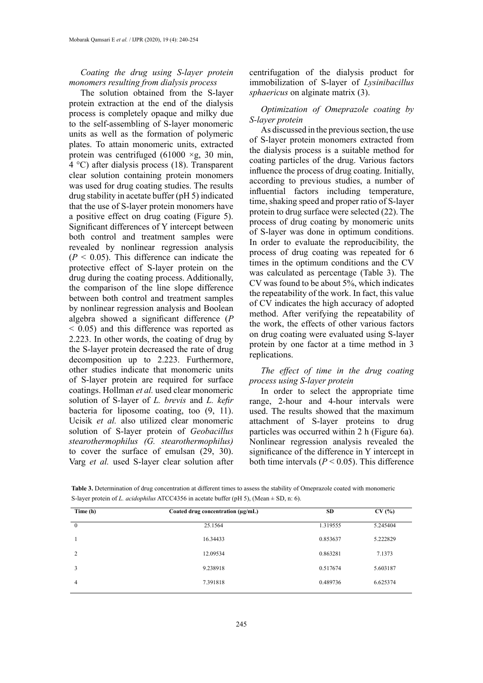### *Coating the drug using S-layer protein monomers resulting from dialysis process*

The solution obtained from the S-layer protein extraction at the end of the dialysis process is completely opaque and milky due to the self-assembling of S-layer monomeric units as well as the formation of polymeric plates. To attain monomeric units, extracted protein was centrifuged (61000  $\times$ g, 30 min, 4 °C) after dialysis process (18). Transparent clear solution containing protein monomers was used for drug coating studies. The results drug stability in acetate buffer (pH 5) indicated **parameters parameter parameter** that the use of S-layer protein monomers have a positive effect on drug coating (Figure 5). Significant differences of Y intercept between both control and treatment samples were  $\frac{61}{10}$  rate to an revealed by nonlinear regression analysis  $(P < 0.05)$ . This difference can indicate the protective effect of S-layer protein on the  $\frac{1}{2}$  muss in the drug during the coating process. Additionally, the comparison of the line slope difference between both control and treatment samples  $\frac{d}{d}CV$  indices by nonlinear regression analysis and Boolean algebra showed a significant difference (*P*   $<$  0.05) and this difference was reported as 2.223. In other words, the coating of drug by the S-layer protein decreased the rate of drug decomposition up to 2.223. Furthermore, other studies indicate that monomeric units of S-layer protein are required for surface *process using* coatings. Hollman *et al.* used clear monomeric ln order solution of S-layer of *L. brevis* and *L. kefir* bacteria for liposome coating, too (9, 11). Ucisik et al. also utilized clear monomeric attachment solution of S-layer protein of *Geobacillus* particles was *stearothermophilus (G. stearothermophilus)*  to cover the surface of emulsan  $(29, 30)$ . significance Varg *et al.* used S-layer clear solution after

centrifugation of the dialysis product for immobilization of S-layer of *Lysinibacillus sphaericus* on alginate matrix (3).

### *Optimization of Omeprazole coating by S-layer protein*

As discussed in the previous section, the use of S-layer protein monomers extracted from the dialysis process is a suitable method for coating particles of the drug. Various factors influence the process of drug coating. Initially, according to previous studies, a number of influential factors including temperature, time, shaking speed and proper ratio of S-layer holomets have protein to drug surface were selected  $(22)$ . The  $\frac{m}{g}$  (1 igure 5). process of drug coating by monomeric units of S-layer was done in optimum conditions. In order to evaluate the reproducibility, the process of drug coating was repeated for 6 times in the optimum conditions and the CV was calculated as percentage (Table 3). The  $\frac{1}{2}$  CV was found to be about 5%, which indicates the repeatability of the work. In fact, this value of CV indicates the high accuracy of adopted method. After verifying the repeatability of the work, the effects of other various factors on drug coating were evaluated using S-layer protein by one factor at a time method in 3 replications. **Intraday Interday**

### *The effect of time in the drug coating process using S-layer protein*

In order to select the appropriate time is and L.  $kefir$  range, 2-hour and 4-hour intervals were used. The results showed that the maximum attachment of S-layer proteins to drug particles was occurred within 2 h (Figure 6a). Nonlinear regression analysis revealed the significance of the difference in Y intercept in both time intervals  $(P < 0.05)$ . This difference

Table 3. Determination of drug concentration at different times to assess the stability of Omeprazole coated with monomeric S-layer protein of *L. acidophilus* ATCC4356 in acetate buffer (pH 5), (Mean ± SD, n: 6).

| Time (h)     | Coated drug concentration (µg/mL) | <b>SD</b> | CV(%)    |
|--------------|-----------------------------------|-----------|----------|
| $\mathbf{0}$ | 25.1564                           | 1.319555  | 5.245404 |
|              | 16.34433                          | 0.853637  | 5.222829 |
| 2            | 12.09534                          | 0.863281  | 7.1373   |
| 3            | 9.238918                          | 0.517674  | 5.603187 |
| 4            | 7.391818                          | 0.489736  | 6.625374 |
|              |                                   |           |          |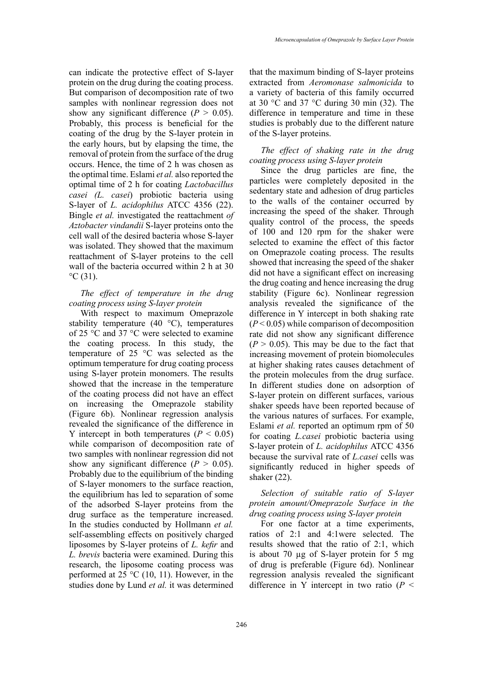can indicate the protective effect of S-layer protein on the drug during the coating process. But comparison of decomposition rate of two samples with nonlinear regression does not show any significant difference  $(P > 0.05)$ . Probably, this process is beneficial for the coating of the drug by the S-layer protein in the early hours, but by elapsing the time, the removal of protein from the surface of the drug occurs. Hence, the time of 2 h was chosen as the optimal time. Eslami *et al.* also reported the optimal time of 2 h for coating *Lactobacillus casei (L. casei*) probiotic bacteria using S-layer of *L. acidophilus* ATCC 4356 (22). Bingle *et al.* investigated the reattachment *of Aztobacter vindandii* S-layer proteins onto the cell wall of the desired bacteria whose S-layer was isolated. They showed that the maximum reattachment of S-layer proteins to the cell wall of the bacteria occurred within 2 h at 30  $^{\circ}C(31)$ .

### *The effect of temperature in the drug coating process using S-layer protein*

With respect to maximum Omeprazole stability temperature  $(40 \degree C)$ , temperatures of 25 °C and 37 °C were selected to examine the coating process. In this study, the temperature of 25 °C was selected as the optimum temperature for drug coating process using S-layer protein monomers. The results showed that the increase in the temperature of the coating process did not have an effect on increasing the Omeprazole stability (Figure 6b). Nonlinear regression analysis revealed the significance of the difference in Y intercept in both temperatures  $(P < 0.05)$ while comparison of decomposition rate of two samples with nonlinear regression did not show any significant difference  $(P > 0.05)$ . Probably due to the equilibrium of the binding of S-layer monomers to the surface reaction, the equilibrium has led to separation of some of the adsorbed S-layer proteins from the drug surface as the temperature increased. In the studies conducted by Hollmann *et al.*  self-assembling effects on positively charged liposomes by S-layer proteins of *L. kefir* and *L. brevis* bacteria were examined. During this research, the liposome coating process was performed at 25 °C (10, 11). However, in the studies done by Lund *et al.* it was determined

that the maximum binding of S-layer proteins extracted from *Aeromonase salmonicida* to a variety of bacteria of this family occurred at 30  $\degree$ C and 37  $\degree$ C during 30 min (32). The difference in temperature and time in these studies is probably due to the different nature of the S-layer proteins.

### *The effect of shaking rate in the drug coating process using S-layer protein*

Since the drug particles are fine, the particles were completely deposited in the sedentary state and adhesion of drug particles to the walls of the container occurred by increasing the speed of the shaker. Through quality control of the process, the speeds of 100 and 120 rpm for the shaker were selected to examine the effect of this factor on Omeprazole coating process. The results showed that increasing the speed of the shaker did not have a significant effect on increasing the drug coating and hence increasing the drug stability (Figure 6c). Nonlinear regression analysis revealed the significance of the difference in Y intercept in both shaking rate  $(P < 0.05)$  while comparison of decomposition rate did not show any significant difference  $(P > 0.05)$ . This may be due to the fact that increasing movement of protein biomolecules at higher shaking rates causes detachment of the protein molecules from the drug surface. In different studies done on adsorption of S-layer protein on different surfaces, various shaker speeds have been reported because of the various natures of surfaces. For example, Eslami *et al.* reported an optimum rpm of 50 for coating *L.casei* probiotic bacteria using S-layer protein of *L. acidophilus* ATCC 4356 because the survival rate of *L.casei* cells was significantly reduced in higher speeds of shaker (22).

# *Selection of suitable ratio of S-layer protein amount/Omeprazole Surface in the drug coating process using S-layer protein*

For one factor at a time experiments, ratios of 2:1 and 4:1were selected. The results showed that the ratio of 2:1, which is about 70 µg of S-layer protein for 5 mg of drug is preferable (Figure 6d). Nonlinear regression analysis revealed the significant difference in Y intercept in two ratio (*P* <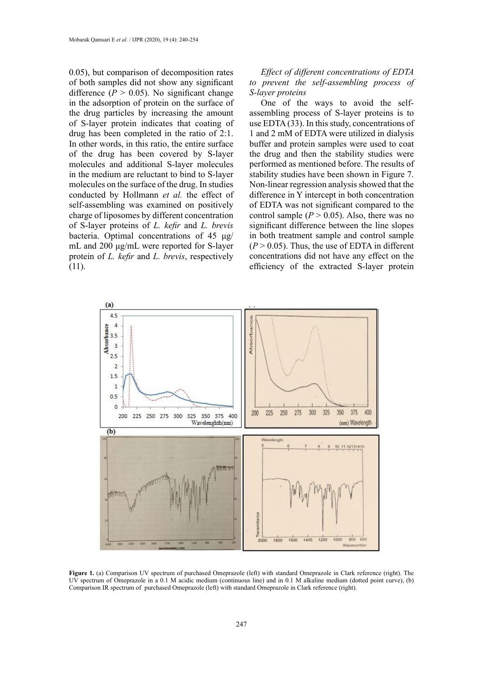0.05), but comparison of decomposition rates of both samples did not show any significant difference  $(P > 0.05)$ . No significant change in the adsorption of protein on the surface of the drug particles by increasing the amount of S-layer protein indicates that coating of drug has been completed in the ratio of 2:1. In other words, in this ratio, the entire surface of the drug has been covered by S-layer molecules and additional S-layer molecules in the medium are reluctant to bind to S-layer molecules on the surface of the drug. In studies conducted by Hollmann *et al.* the effect of self-assembling was examined on positively charge of liposomes by different concentration of S-layer proteins of *L. kefir* and *L. brevis* bacteria. Optimal concentrations of 45 μg/ mL and 200 μg/mL were reported for S-layer protein of *L. kefir* and *L. brevis*, respectively (11).

# *Effect of different concentrations of EDTA to prevent the self-assembling process of S-layer proteins*

One of the ways to avoid the selfassembling process of S-layer proteins is to use EDTA (33). In this study, concentrations of 1 and 2 mM of EDTA were utilized in dialysis buffer and protein samples were used to coat the drug and then the stability studies were performed as mentioned before. The results of stability studies have been shown in Figure 7. Non-linear regression analysis showed that the difference in Y intercept in both concentration of EDTA was not significant compared to the control sample  $(P > 0.05)$ . Also, there was no significant difference between the line slopes in both treatment sample and control sample  $(P > 0.05)$ . Thus, the use of EDTA in different concentrations did not have any effect on the efficiency of the extracted S-layer protein



Figure 1. (a) Comparison UV spectrum of purchased Omeprazole (left) with standard Omeprazole in Clark reference (right). The UV spectrum of Omeprazole in a 0.1 M acidic medium (continuous line) and in 0.1 M alkaline medium (dotted point curve), (b) Comparison IR spectrum of purchased Omeprazole (left) with standard Omeprazole in Clark reference (right).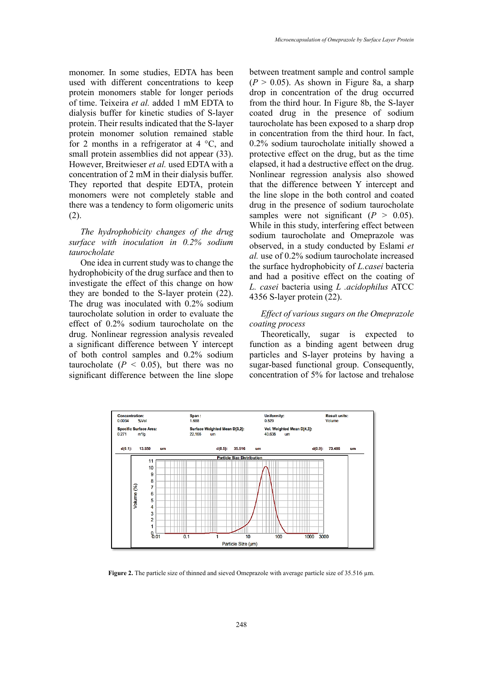monomer. In some studies, EDTA has been used with different concentrations to keep protein monomers stable for longer periods of time. Teixeira *et al.* added 1 mM EDTA to dialysis buffer for kinetic studies of S-layer protein. Their results indicated that the S-layer protein monomer solution remained stable for 2 months in a refrigerator at  $4 \degree C$ , and small protein assemblies did not appear (33). However, Breitwieser *et al.* used EDTA with a concentration of 2 mM in their dialysis buffer. They reported that despite EDTA, protein monomers were not completely stable and there was a tendency to form oligomeric units (2).

# *The hydrophobicity changes of the drug surface with inoculation in 0.2% sodium taurocholate*

One idea in current study was to change the hydrophobicity of the drug surface and then to investigate the effect of this change on how they are bonded to the S-layer protein (22). The drug was inoculated with 0.2% sodium taurocholate solution in order to evaluate the effect of 0.2% sodium taurocholate on the drug. Nonlinear regression analysis revealed a significant difference between Y intercept of both control samples and 0.2% sodium taurocholate  $(P < 0.05)$ , but there was no significant difference between the line slope

between treatment sample and control sample  $(P > 0.05)$ . As shown in Figure 8a, a sharp drop in concentration of the drug occurred from the third hour. In Figure 8b, the S-layer coated drug in the presence of sodium taurocholate has been exposed to a sharp drop in concentration from the third hour. In fact, 0.2% sodium taurocholate initially showed a protective effect on the drug, but as the time elapsed, it had a destructive effect on the drug. Nonlinear regression analysis also showed that the difference between Y intercept and the line slope in the both control and coated drug in the presence of sodium taurocholate samples were not significant  $(P > 0.05)$ . While in this study, interfering effect between sodium taurocholate and Omeprazole was observed, in a study conducted by Eslami *et al.* use of 0.2% sodium taurocholate increased the surface hydrophobicity of *L.casei* bacteria and had a positive effect on the coating of *L. casei* bacteria using *L .acidophilus* ATCC 4356 S-layer protein (22).

# *Effect of various sugars on the Omeprazole coating process*

Theoretically, sugar is expected to function as a binding agent between drug particles and S-layer proteins by having a sugar-based functional group. Consequently, concentration of 5% for lactose and trehalose



**Figure 2.** The particle size of thinned and sieved Omeprazole with average particle size of 35.516 µm.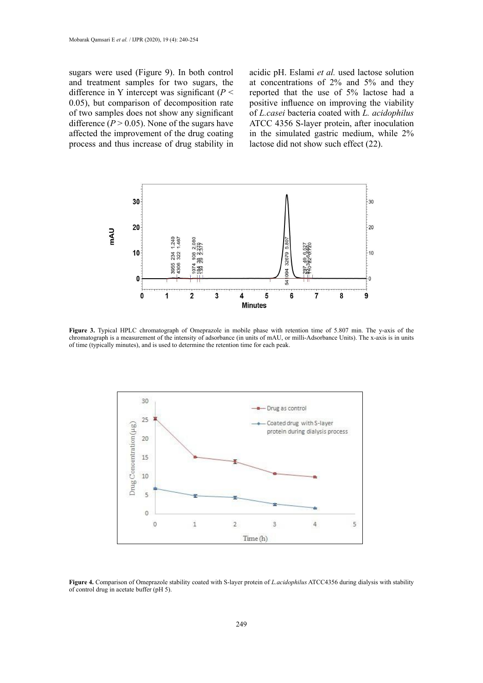sugars were used (Figure 9). In both control and treatment samples for two sugars, the difference in Y intercept was significant (*P* < 0.05), but comparison of decomposition rate of two samples does not show any significant difference  $(P > 0.05)$ . None of the sugars have affected the improvement of the drug coating process and thus increase of drug stability in

acidic pH. Eslami *et al.* used lactose solution at concentrations of 2% and 5% and they reported that the use of 5% lactose had a positive influence on improving the viability of *L.casei* bacteria coated with *L. acidophilus* ATCC 4356 S-layer protein, after inoculation in the simulated gastric medium, while 2% lactose did not show such effect (22).



Figure 3. Typical HPLC chromatograph of Omeprazole in mobile phase with retention time of 5.807 min. The y-axis of the chromatograph is a measurement of the intensity of adsorbance (in units of mAU, or milli-Adsorbance Units). The x-axis is in units of time (typically minutes), and is used to determine the retention time for each peak.



**Figure 4.** Comparison of Omeprazole stability coated with S-layer protein of *L.acidophilus* ATCC4356 during dialysis with stability of control drug in acetate buffer (pH 5).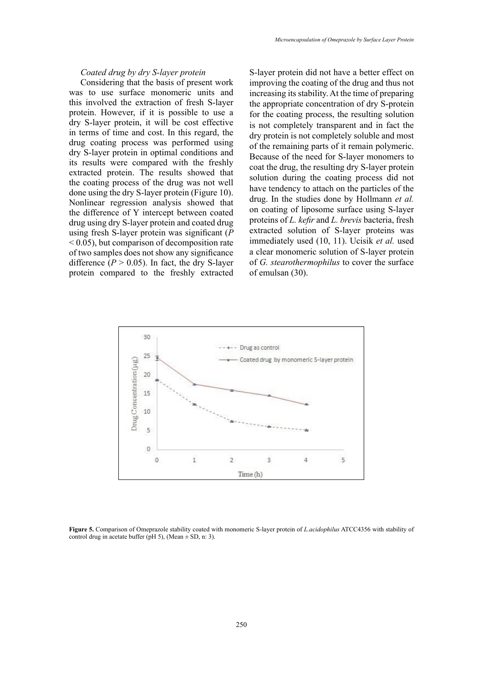#### *Coated drug by dry S-layer protein*

Considering that the basis of present work was to use surface monomeric units and this involved the extraction of fresh S-layer protein. However, if it is possible to use a dry S-layer protein, it will be cost effective in terms of time and cost. In this regard, the drug coating process was performed using dry S-layer protein in optimal conditions and its results were compared with the freshly extracted protein. The results showed that the coating process of the drug was not well done using the dry S-layer protein (Figure 10). Nonlinear regression analysis showed that the difference of Y intercept between coated drug using dry S-layer protein and coated drug using fresh S-layer protein was significant (*P*   $< 0.05$ ), but comparison of decomposition rate of two samples does not show any significance difference  $(P > 0.05)$ . In fact, the dry S-layer protein compared to the freshly extracted

S-layer protein did not have a better effect on improving the coating of the drug and thus not increasing its stability. At the time of preparing the appropriate concentration of dry S-protein for the coating process, the resulting solution is not completely transparent and in fact the dry protein is not completely soluble and most of the remaining parts of it remain polymeric. Because of the need for S-layer monomers to coat the drug, the resulting dry S-layer protein solution during the coating process did not have tendency to attach on the particles of the drug. In the studies done by Hollmann *et al.* on coating of liposome surface using S-layer proteins of *L. kefir* and *L. brevis* bacteria, fresh extracted solution of S-layer proteins was immediately used (10, 11). Ucisik *et al.* used a clear monomeric solution of S-layer protein of *G. stearothermophilus* to cover the surface of emulsan (30).



**Figure 5.** Comparison of Omeprazole stability coated with monomeric S-layer protein of *L.acidophilus* ATCC4356 with stability of control drug in acetate buffer (pH 5), (Mean  $\pm$  SD, n: 3).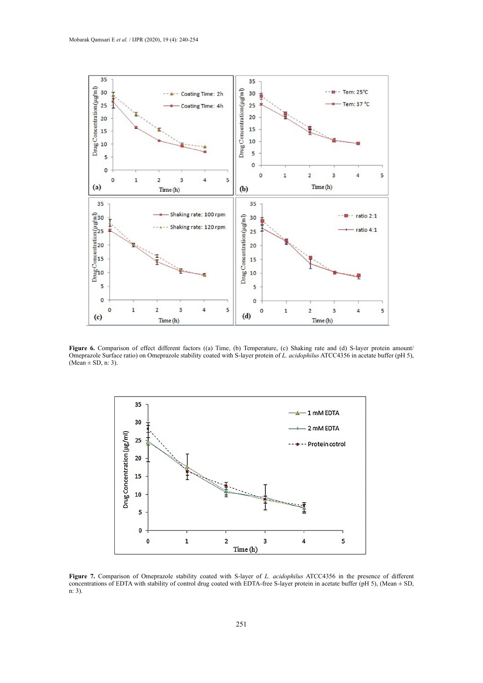

Figure 6. Comparison of effect different factors ((a) Time, (b) Temperature, (c) Shaking rate and (d) S-layer protein amount/ Omeprazole Surface ratio) on Omeprazole stability coated with S-layer protein of *L. acidophilus* ATCC4356 in acetate buffer (pH 5),  $(Mean \pm SD, n: 3)$ .



Figure 7. Comparison of Omeprazole stability coated with S-layer of *L. acidophilus* ATCC4356 in the presence of different concentrations of EDTA with stability of control drug coated with EDTA-free S-layer protein in acetate buffer (pH 5), (Mean ± SD, n: 3).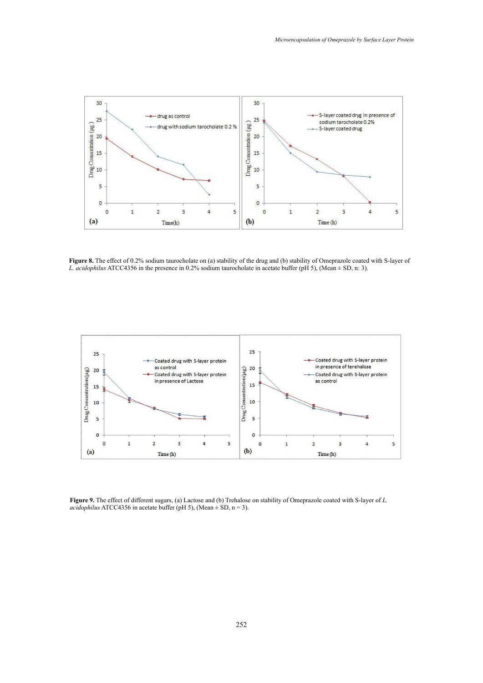

Figure 8. The effect of 0.2% sodium taurocholate on (a) stability of the drug and (b) stability of Omeprazole coated with S-layer of *L. acidophilus* ATCC4356 in the presence in 0.2% sodium taurocholate in acetate buffer (pH 5), (Mean  $\pm$  SD, n: 3).



**Figure 9.** The effect of different sugars, (a) Lactose and (b) Trehalose on stability of Omeprazole coated with S-layer of *L. acidophilus* ATCC4356 in acetate buffer (pH 5), (Mean  $\pm$  SD, n = 3).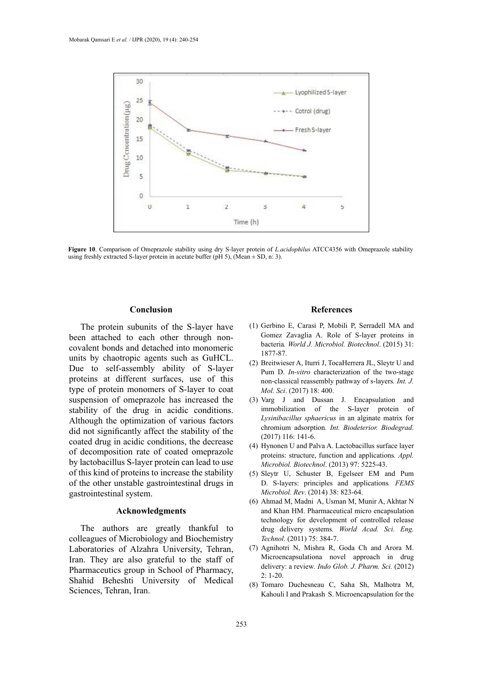

Figure 10. Comparison of Omeprazole stability using dry S-layer protein of *Lacidophilus* ATCC4356 with Omeprazole stability Extracted S-layer protein in acetate buffer (pH 5), (Mean  $\pm$  SD, n: 3).

### **Conclusion**

The protein subunits of the S-layer have been attached to each other through noncovalent bonds and detached into monomeric units by chaotropic agents such as GuHCL. Due to self-assembly ability of S-layer proteins at different surfaces, use of this type of protein monomers of S-layer to coat suspension of omeprazole has increased the stability of the drug in acidic conditions. Although the optimization of various factors did not significantly affect the stability of the coated drug in acidic conditions, the decrease of decomposition rate of coated omeprazole by lactobacillus S-layer protein can lead to use of this kind of proteins to increase the stability of the other unstable gastrointestinal drugs in gastrointestinal system.

### **Acknowledgments**

The authors are greatly thankful to colleagues of Microbiology and Biochemistry Laboratories of Alzahra University, Tehran, Iran. They are also grateful to the staff of Pharmaceutics group in School of Pharmacy, Shahid Beheshti University of Medical Sciences, Tehran, Iran.

#### **References**

- 6 (1) Gerbino E, Carasi P, Mobili P, Serradell MA and Gomez Zavaglia A. Role of S-layer proteins in bacteria*. World J. Microbiol. Biotechnol*. (2015) 31: 1877-87.
- (2) Breitwieser A, Iturri J, TocaHerrera JL, Sleytr U and Pum D. *In-vitro* characterization of the two-stage non-classical reassembly pathway of s-layers*. Int. J. Mol. Sci*. (2017) 18: 400.
- (3) Varg J and Dussan J. Encapsulation and immobilization of the S-layer protein of *Lysinibacillus sphaericus* in an alginate matrix for chromium adsorption*. Int. Biodeterior. Biodegrad*. (2017) 116: 141-6.
- (4) Hynonen U and Palva A. Lactobacillus surface layer proteins: structure, function and applications*. Appl. Microbiol. Biotechnol*. (2013) 97: 5225-43.
- (5) Sleytr U, Schuster B, Egelseer EM and Pum D. S-layers: principles and applications*. FEMS Microbiol. Rev*. (2014) 38: 823-64.
- (6) Ahmad M, Madni A, Usman M, Munir A, Akhtar N and Khan HM. Pharmaceutical micro encapsulation technology for development of controlled release drug delivery systems*. World Acad. Sci. Eng. Technol*. (2011) 75: 384-7.
- (7) Agnihotri N, Mishra R, Goda Ch and Arora M. Microencapsulationa novel approach in drug delivery: a review. *Indo Glob. J. Pharm. Sci.* (2012) 2: 1-20.
- (8) Tomaro Duchesneau C, Saha Sh, Malhotra M, Kahouli I and Prakash S. Microencapsulation for the